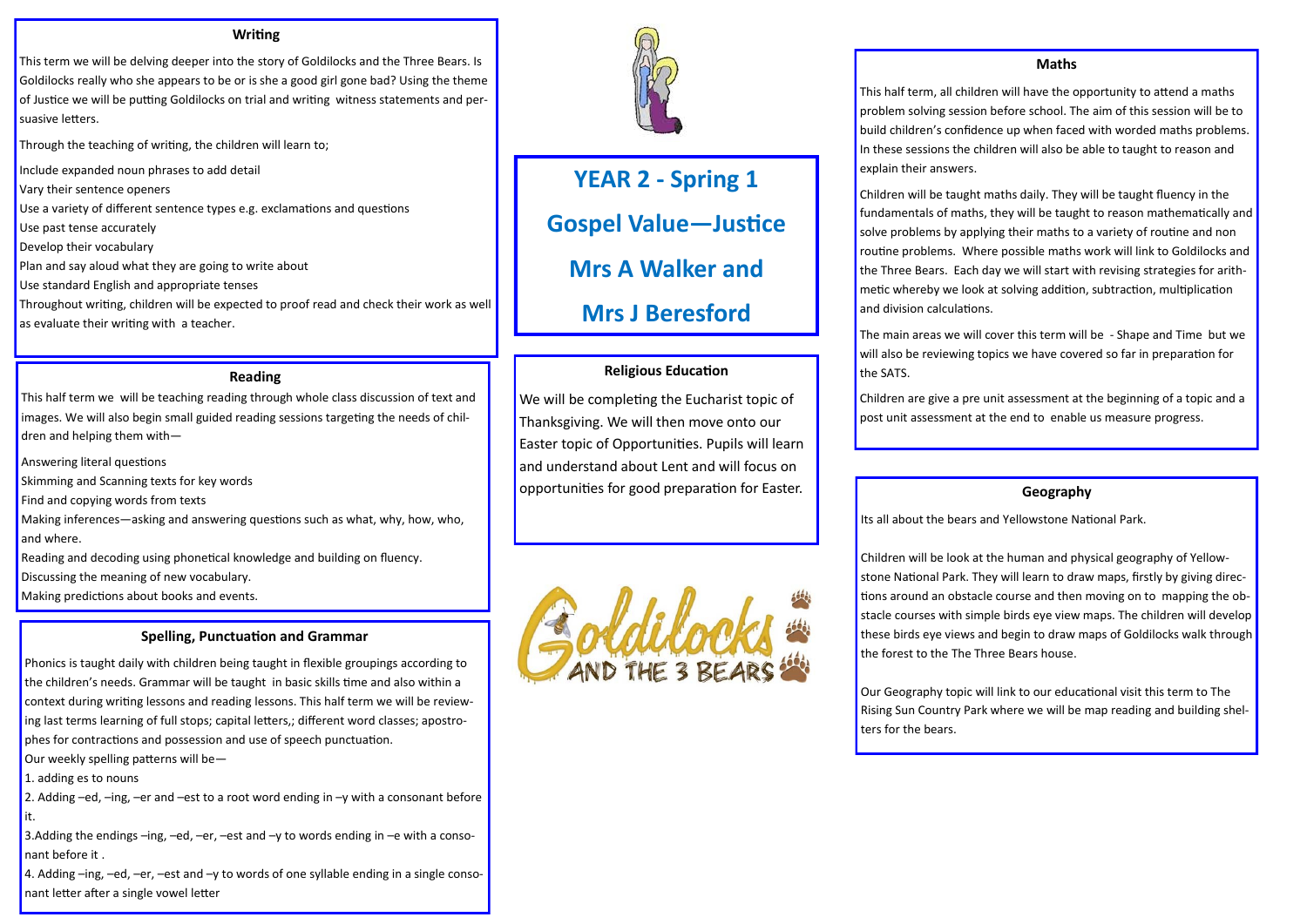# **YEAR 2 - Spring 1 Gospel Value—Justice Mrs A Walker and Mrs J Beresford**

#### **Writing**

This term we will be delving deeper into the story of Goldilocks and the Three Bears. Is Goldilocks really who she appears to be or is she a good girl gone bad? Using the theme of Justice we will be putting Goldilocks on trial and writing witness statements and persuasive letters.

Through the teaching of writing, the children will learn to;

Include expanded noun phrases to add detail

Vary their sentence openers

Use a variety of different sentence types e.g. exclamations and questions

Use past tense accurately

Develop their vocabulary

Plan and say aloud what they are going to write about

Use standard English and appropriate tenses

Throughout writing, children will be expected to proof read and check their work as well as evaluate their writing with a teacher.

#### **Reading**

This half term we will be teaching reading through whole class discussion of text and images. We will also begin small guided reading sessions targeting the needs of children and helping them with—

3.Adding the endings –ing, –ed, –er, –est and –y to words ending in –e with a consonant before it .

Answering literal questions

Skimming and Scanning texts for key words

Find and copying words from texts

Making inferences—asking and answering questions such as what, why, how, who, and where.

Reading and decoding using phonetical knowledge and building on fluency.

Discussing the meaning of new vocabulary.

Making predictions about books and events.

#### **Spelling, Punctuation and Grammar**

Phonics is taught daily with children being taught in flexible groupings according to the children's needs. Grammar will be taught in basic skills time and also within a context during writing lessons and reading lessons. This half term we will be reviewing last terms learning of full stops; capital letters,; different word classes; apostrophes for contractions and possession and use of speech punctuation.

Our weekly spelling patterns will be—

1. adding es to nouns

2. Adding –ed, –ing, –er and –est to a root word ending in –y with a consonant before it.

4. Adding –ing, –ed, –er, –est and –y to words of one syllable ending in a single consonant letter after a single vowel letter



# **Religious Education**

We will be completing the Eucharist topic of Thanksgiving. We will then move onto our Easter topic of Opportunities. Pupils will learn and understand about Lent and will focus on opportunities for good preparation for Easter.



#### **Maths**

This half term, all children will have the opportunity to attend a maths problem solving session before school. The aim of this session will be to build children's confidence up when faced with worded maths problems. In these sessions the children will also be able to taught to reason and explain their answers.

Children will be taught maths daily. They will be taught fluency in the fundamentals of maths, they will be taught to reason mathematically and solve problems by applying their maths to a variety of routine and non routine problems. Where possible maths work will link to Goldilocks and the Three Bears. Each day we will start with revising strategies for arithmetic whereby we look at solving addition, subtraction, multiplication and division calculations.

The main areas we will cover this term will be - Shape and Time but we will also be reviewing topics we have covered so far in preparation for

the SATS.

Children are give a pre unit assessment at the beginning of a topic and a post unit assessment at the end to enable us measure progress.

# **Geography**

Its all about the bears and Yellowstone National Park.

Children will be look at the human and physical geography of Yellowstone National Park. They will learn to draw maps, firstly by giving directions around an obstacle course and then moving on to mapping the obstacle courses with simple birds eye view maps. The children will develop these birds eye views and begin to draw maps of Goldilocks walk through the forest to the The Three Bears house.

Our Geography topic will link to our educational visit this term to The Rising Sun Country Park where we will be map reading and building shel-

ters for the bears.